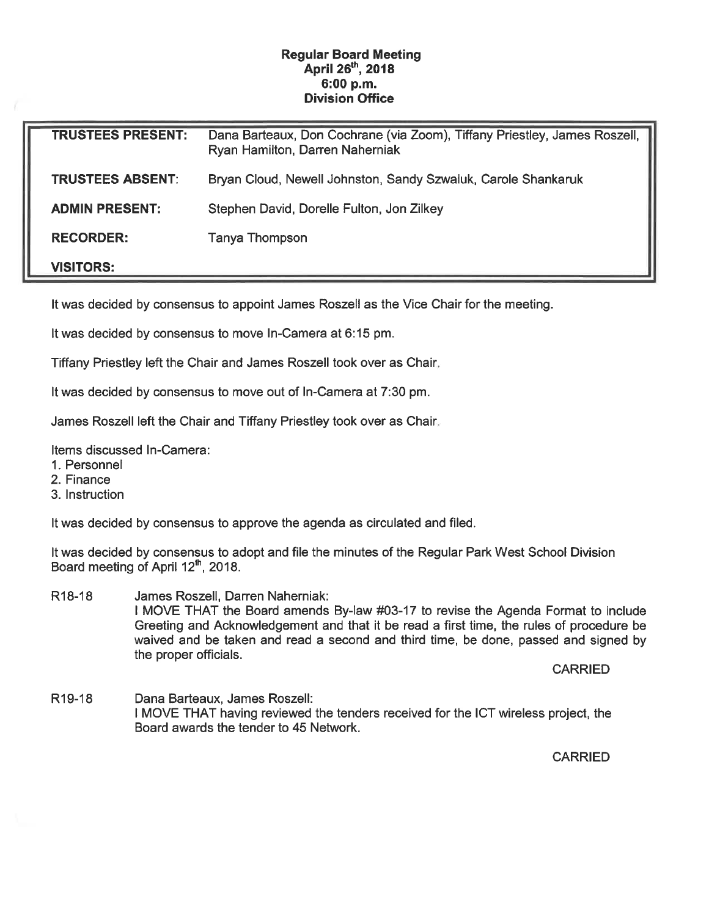## Regular Board Meeting April 26<sup>th</sup>, 2018 6:00 p.m. Division Office

| <b>TRUSTEES PRESENT:</b> | Dana Barteaux, Don Cochrane (via Zoom), Tiffany Priestley, James Roszell,<br>Ryan Hamilton, Darren Naherniak |
|--------------------------|--------------------------------------------------------------------------------------------------------------|
| <b>TRUSTEES ABSENT:</b>  | Bryan Cloud, Newell Johnston, Sandy Szwaluk, Carole Shankaruk                                                |
| <b>ADMIN PRESENT:</b>    | Stephen David, Dorelle Fulton, Jon Zilkey                                                                    |
| <b>RECORDER:</b>         | Tanya Thompson                                                                                               |
| <b>VISITORS:</b>         |                                                                                                              |

It was decided by consensus to appoint James Roszell as the Vice Chair for the meeting.

It was decided by consensus to move In-Camera at 6:15 pm.

Tiffany Priestley left the Chair and James Roszell took over as Chair

It was decided by consensus to move out of In-Camera at 7:30 pm.

James Roszell left the Chair and Tiffany Priestley took over as Chair

Items discussed In-Camera:

- 1. Personnel
- 2. Finance
- 3. Instruction

It was decided by consensus to approve the agenda as circulated and filed.

It was decided by consensus to adopt and file the minutes of the Regular Park West School Division Board meeting of April 12<sup>th</sup>, 2018.

R18-18 James Roszell, Darren Naherniak: I MOVE THAT the Board amends By-law #03-17 to revise the Agenda Format to include Greeting and Acknowledgement and that it be read a first time, the rules of procedure be waived and be taken and read a second and third time, be done, passed and signed by the proper officials.

CARRIED

R19-18 Dana Barteaux, James Roszell: I MOVE THAT having reviewed the tenders received for the ICT wireless project, the Board awards the tender to 45 Network.

CARRIED